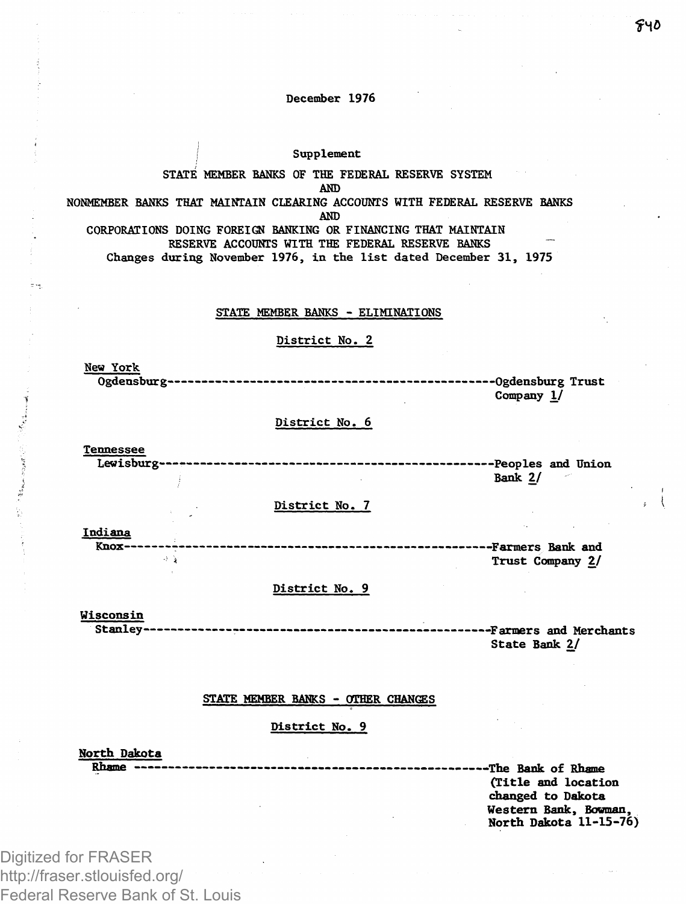#### December 1976

## **Supplement**

#### STATE MEMBER BANKS OF THE FEDERAL RESERVE SYSTEM AND

## NONMEMBER BANKS THAT MAINTAIN CLEARING ACCOUNTS WITH FEDERAL RESERVE BANKS AND

CORPORATIONS DOING FOREIGN BANKING OR FINANCING THAT MAINTAIN RESERVE ACCOUNTS WITH THE FEDERAL RESERVE BANKS Changes during November 1976, in the list dated December 31, 1975

#### STATE MEMBER BANKS - ELIMINATIONS

#### District No. 2

New York Ogdensburg Ogdensburg Trust Company 1/

## District No. 6

**Tennessee** Lewisburg « People s and Union Bank 2/

### District No. 7

Indiana

Knox — Farmers Bank and Trust Company 2/

#### District No. 9

#### Wisconsin

Stanle y -Farmers and Merchants State Bank 2/

#### STATE MEMBER BANKS - OTHER CHANGES

#### District No. 9

North Dakota

Rhnrma ——— —The Bank of Rhame (Title and location changed to Dakota Western Bank, Bowman, North Dakota 11-15-76)

Digitized for FRASER http://fraser.stlouisfed.org/ Federal Reserve Bank of St. Louis